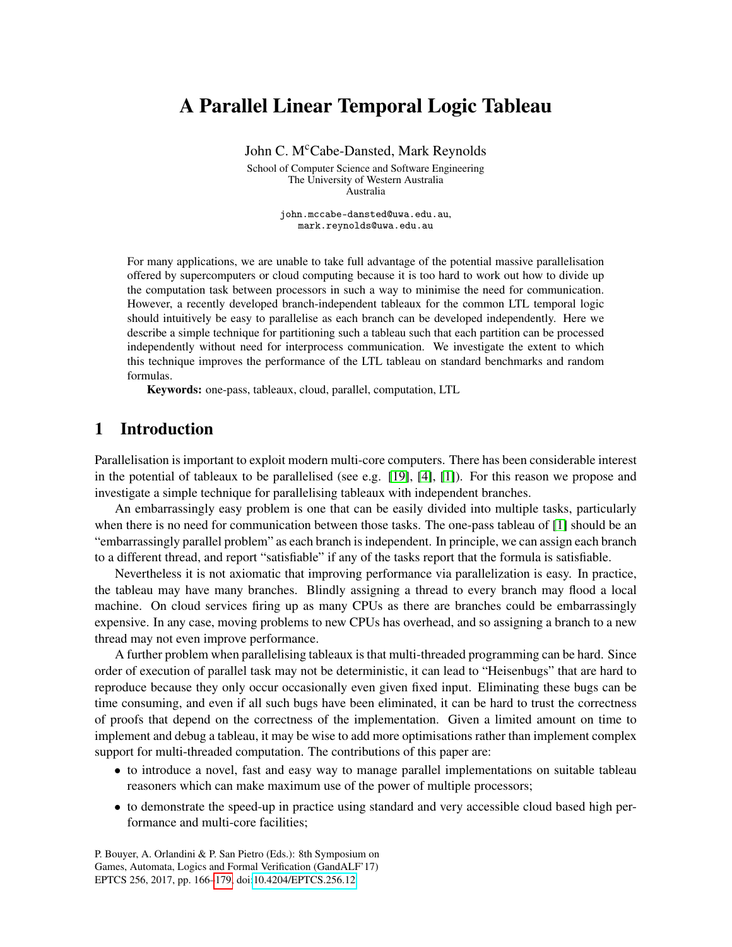# A Parallel Linear Temporal Logic Tableau

John C. M<sup>c</sup>Cabe-Dansted, Mark Reynolds

School of Computer Science and Software Engineering The University of Western Australia Australia

> john.mccabe-dansted@uwa.edu.au, mark.reynolds@uwa.edu.au

For many applications, we are unable to take full advantage of the potential massive parallelisation offered by supercomputers or cloud computing because it is too hard to work out how to divide up the computation task between processors in such a way to minimise the need for communication. However, a recently developed branch-independent tableaux for the common LTL temporal logic should intuitively be easy to parallelise as each branch can be developed independently. Here we describe a simple technique for partitioning such a tableau such that each partition can be processed independently without need for interprocess communication. We investigate the extent to which this technique improves the performance of the LTL tableau on standard benchmarks and random formulas.

Keywords: one-pass, tableaux, cloud, parallel, computation, LTL

# 1 Introduction

Parallelisation is important to exploit modern multi-core computers. There has been considerable interest in the potential of tableaux to be parallelised (see e.g. [\[19\]](#page-13-1), [\[4\]](#page-12-0), [\[1\]](#page-12-1)). For this reason we propose and investigate a simple technique for parallelising tableaux with independent branches.

An embarrassingly easy problem is one that can be easily divided into multiple tasks, particularly when there is no need for communication between those tasks. The one-pass tableau of [\[1\]](#page-12-1) should be an "embarrassingly parallel problem" as each branch is independent. In principle, we can assign each branch to a different thread, and report "satisfiable" if any of the tasks report that the formula is satisfiable.

Nevertheless it is not axiomatic that improving performance via parallelization is easy. In practice, the tableau may have many branches. Blindly assigning a thread to every branch may flood a local machine. On cloud services firing up as many CPUs as there are branches could be embarrassingly expensive. In any case, moving problems to new CPUs has overhead, and so assigning a branch to a new thread may not even improve performance.

A further problem when parallelising tableaux is that multi-threaded programming can be hard. Since order of execution of parallel task may not be deterministic, it can lead to "Heisenbugs" that are hard to reproduce because they only occur occasionally even given fixed input. Eliminating these bugs can be time consuming, and even if all such bugs have been eliminated, it can be hard to trust the correctness of proofs that depend on the correctness of the implementation. Given a limited amount on time to implement and debug a tableau, it may be wise to add more optimisations rather than implement complex support for multi-threaded computation. The contributions of this paper are:

- to introduce a novel, fast and easy way to manage parallel implementations on suitable tableau reasoners which can make maximum use of the power of multiple processors;
- to demonstrate the speed-up in practice using standard and very accessible cloud based high performance and multi-core facilities;

P. Bouyer, A. Orlandini & P. San Pietro (Eds.): 8th Symposium on Games, Automata, Logics and Formal Verification (GandALF'17) EPTCS 256, 2017, pp. 166[–179,](#page-13-0) doi[:10.4204/EPTCS.256.12](http://dx.doi.org/10.4204/EPTCS.256.12)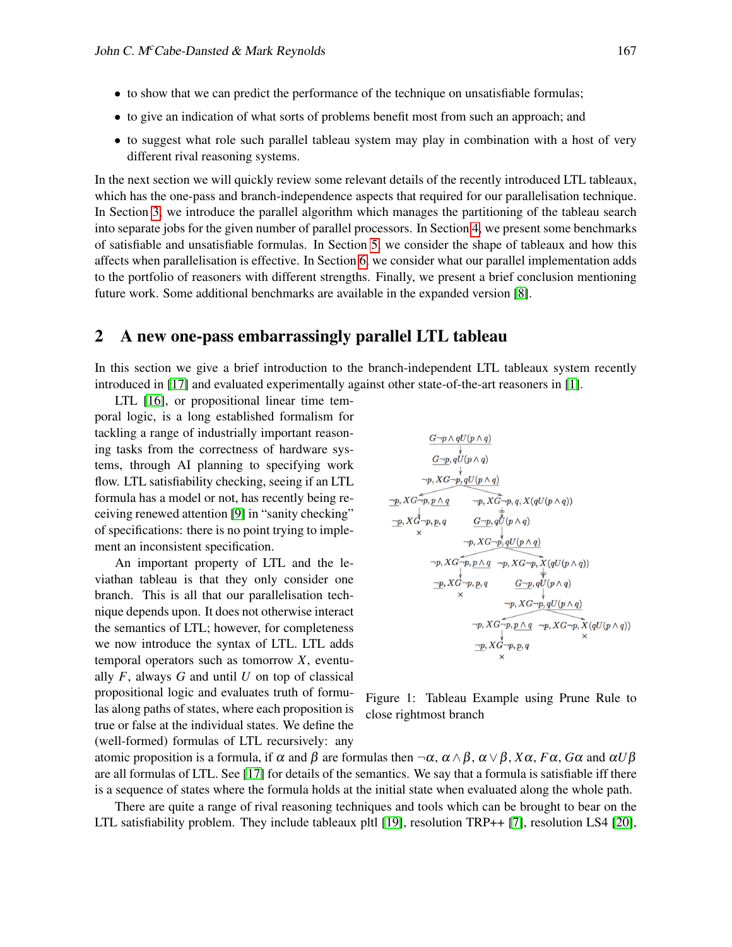- to show that we can predict the performance of the technique on unsatisfiable formulas;
- to give an indication of what sorts of problems benefit most from such an approach; and
- to suggest what role such parallel tableau system may play in combination with a host of very different rival reasoning systems.

In the next section we will quickly review some relevant details of the recently introduced LTL tableaux, which has the one-pass and branch-independence aspects that required for our parallelisation technique. In Section [3,](#page-2-0) we introduce the parallel algorithm which manages the partitioning of the tableau search into separate jobs for the given number of parallel processors. In Section [4,](#page-5-0) we present some benchmarks of satisfiable and unsatisfiable formulas. In Section [5,](#page-8-0) we consider the shape of tableaux and how this affects when parallelisation is effective. In Section [6,](#page-10-0) we consider what our parallel implementation adds to the portfolio of reasoners with different strengths. Finally, we present a brief conclusion mentioning future work. Some additional benchmarks are available in the expanded version [\[8\]](#page-13-2).

# 2 A new one-pass embarrassingly parallel LTL tableau

In this section we give a brief introduction to the branch-independent LTL tableaux system recently introduced in [\[17\]](#page-13-3) and evaluated experimentally against other state-of-the-art reasoners in [\[1\]](#page-12-1).

LTL [\[16\]](#page-13-4), or propositional linear time temporal logic, is a long established formalism for tackling a range of industrially important reasoning tasks from the correctness of hardware systems, through AI planning to specifying work flow. LTL satisfiability checking, seeing if an LTL formula has a model or not, has recently being receiving renewed attention [\[9\]](#page-13-5) in "sanity checking" of specifications: there is no point trying to implement an inconsistent specification.

An important property of LTL and the leviathan tableau is that they only consider one branch. This is all that our parallelisation technique depends upon. It does not otherwise interact the semantics of LTL; however, for completeness we now introduce the syntax of LTL. LTL adds temporal operators such as tomorrow *X*, eventually *F*, always *G* and until *U* on top of classical propositional logic and evaluates truth of formulas along paths of states, where each proposition is true or false at the individual states. We define the (well-formed) formulas of LTL recursively: any

$$
\begin{array}{ccc}\n\frac{G-p \wedge qU(p \wedge q)}{\downarrow} & & \\
\hline\n&G-p, qU(p \wedge q) & & \\
& \downarrow & \\
\hline\n-p, XG-p, qU(p \wedge q) & & \\
\hline\np, XG-p, p \wedge q & & \uparrow p, XG-p, q, X(qU(p \wedge q)) \\
\hline\n\frac{-p}{\times} XG-p, p, q & & \\
& G-p, qU(p \wedge q) & & \\
\hline\np, XG-p, p \wedge q & & \uparrow p, XG-p, X(qU(p \wedge q)) \\
& \uparrow p, XG-p, p, q & & \\
\hline\n\frac{-p}{\times} XG-p, p, q & & \\
& G-p, qU(p \wedge q) & & \\
\hline\np, XG-p, qU(p \wedge q) & & \\
& \downarrow & \\
& \uparrow p, XG-p, p \wedge q & \uparrow p, XG-p, X(qU(p \wedge q)) \\
& \uparrow p, XG-p, p, q & & \\
\hline\n& \searrow & & \\
\end{array}
$$

<span id="page-1-0"></span>Figure 1: Tableau Example using Prune Rule to close rightmost branch

atomic proposition is a formula, if  $\alpha$  and  $\beta$  are formulas then  $\neg \alpha$ ,  $\alpha \wedge \beta$ ,  $\alpha \vee \beta$ ,  $X\alpha$ ,  $F\alpha$ ,  $G\alpha$  and  $\alpha U\beta$ are all formulas of LTL. See [\[17\]](#page-13-3) for details of the semantics. We say that a formula is satisfiable iff there is a sequence of states where the formula holds at the initial state when evaluated along the whole path.

There are quite a range of rival reasoning techniques and tools which can be brought to bear on the LTL satisfiability problem. They include tableaux pltl [\[19\]](#page-13-1), resolution TRP++ [\[7\]](#page-13-6), resolution LS4 [\[20\]](#page-13-7),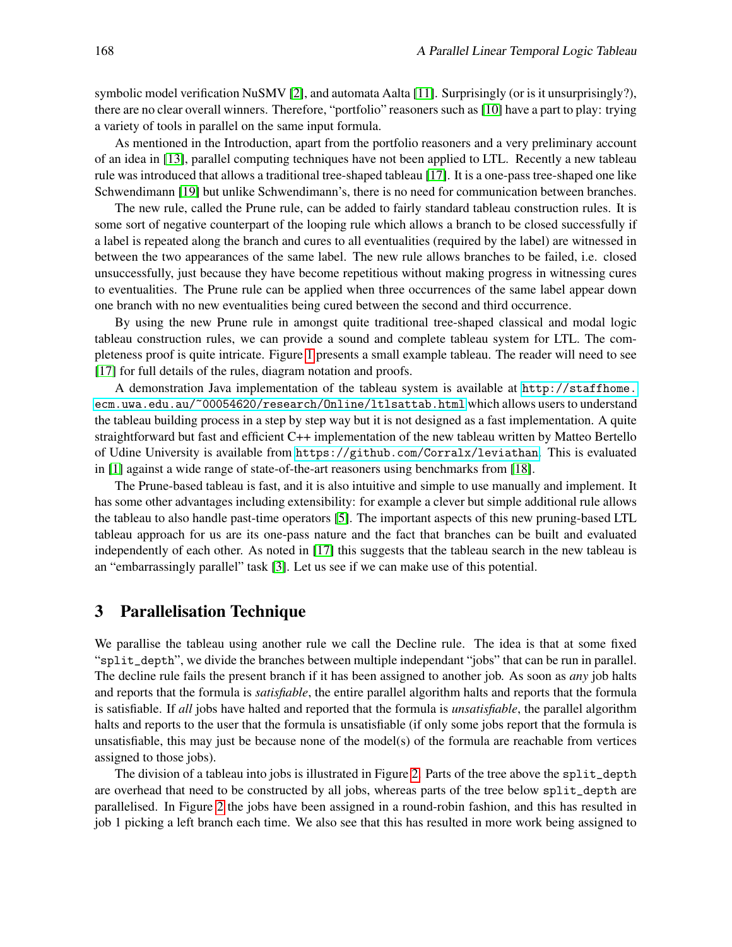symbolic model verification NuSMV [\[2\]](#page-12-2), and automata Aalta [\[11\]](#page-13-8). Surprisingly (or is it unsurprisingly?), there are no clear overall winners. Therefore, "portfolio" reasoners such as [\[10\]](#page-13-9) have a part to play: trying a variety of tools in parallel on the same input formula.

As mentioned in the Introduction, apart from the portfolio reasoners and a very preliminary account of an idea in [\[13\]](#page-13-10), parallel computing techniques have not been applied to LTL. Recently a new tableau rule was introduced that allows a traditional tree-shaped tableau [\[17\]](#page-13-3). It is a one-pass tree-shaped one like Schwendimann [\[19\]](#page-13-1) but unlike Schwendimann's, there is no need for communication between branches.

The new rule, called the Prune rule, can be added to fairly standard tableau construction rules. It is some sort of negative counterpart of the looping rule which allows a branch to be closed successfully if a label is repeated along the branch and cures to all eventualities (required by the label) are witnessed in between the two appearances of the same label. The new rule allows branches to be failed, i.e. closed unsuccessfully, just because they have become repetitious without making progress in witnessing cures to eventualities. The Prune rule can be applied when three occurrences of the same label appear down one branch with no new eventualities being cured between the second and third occurrence.

By using the new Prune rule in amongst quite traditional tree-shaped classical and modal logic tableau construction rules, we can provide a sound and complete tableau system for LTL. The completeness proof is quite intricate. Figure [1](#page-1-0) presents a small example tableau. The reader will need to see [\[17\]](#page-13-3) for full details of the rules, diagram notation and proofs.

A demonstration Java implementation of the tableau system is available at [http://staffhome.](http://staffhome.ecm.uwa.edu.au/~00054620/research/Online/ltlsattab.html) [ecm.uwa.edu.au/~00054620/research/Online/ltlsattab.html](http://staffhome.ecm.uwa.edu.au/~00054620/research/Online/ltlsattab.html) which allows users to understand the tableau building process in a step by step way but it is not designed as a fast implementation. A quite straightforward but fast and efficient C++ implementation of the new tableau written by Matteo Bertello of Udine University is available from <https://github.com/Corralx/leviathan>. This is evaluated in [\[1\]](#page-12-1) against a wide range of state-of-the-art reasoners using benchmarks from [\[18\]](#page-13-11).

The Prune-based tableau is fast, and it is also intuitive and simple to use manually and implement. It has some other advantages including extensibility: for example a clever but simple additional rule allows the tableau to also handle past-time operators [\[5\]](#page-13-12). The important aspects of this new pruning-based LTL tableau approach for us are its one-pass nature and the fact that branches can be built and evaluated independently of each other. As noted in [\[17\]](#page-13-3) this suggests that the tableau search in the new tableau is an "embarrassingly parallel" task [\[3\]](#page-12-3). Let us see if we can make use of this potential.

# <span id="page-2-0"></span>3 Parallelisation Technique

We parallise the tableau using another rule we call the Decline rule. The idea is that at some fixed "split\_depth", we divide the branches between multiple independant "jobs" that can be run in parallel. The decline rule fails the present branch if it has been assigned to another job. As soon as *any* job halts and reports that the formula is *satisfiable*, the entire parallel algorithm halts and reports that the formula is satisfiable. If *all* jobs have halted and reported that the formula is *unsatisfiable*, the parallel algorithm halts and reports to the user that the formula is unsatisfiable (if only some jobs report that the formula is unsatisfiable, this may just be because none of the model(s) of the formula are reachable from vertices assigned to those jobs).

The division of a tableau into jobs is illustrated in Figure [2.](#page-4-0) Parts of the tree above the split\_depth are overhead that need to be constructed by all jobs, whereas parts of the tree below split\_depth are parallelised. In Figure [2](#page-4-0) the jobs have been assigned in a round-robin fashion, and this has resulted in job 1 picking a left branch each time. We also see that this has resulted in more work being assigned to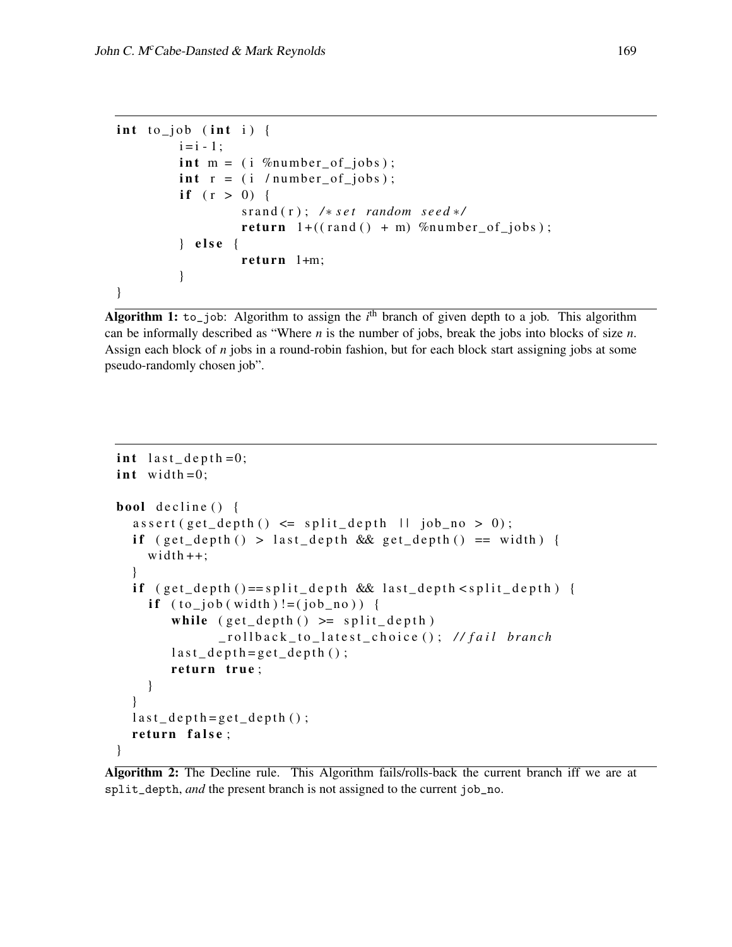```
\int int to job (int i) {
         i = i - 1;
         int m = (i \, %number_of_jobs);
         \text{int } r = (i / number_of_jobs);if (r > 0) {
                   sr and (r); /* set random seed */
                   return 1+((\text{rand}(t) + m) %number_of_jobs);
         } else {
                   return 1+m;}
}
```
<span id="page-3-0"></span>Algorithm 1: to\_job: Algorithm to assign the  $i<sup>th</sup>$  branch of given depth to a job. This algorithm can be informally described as "Where *n* is the number of jobs, break the jobs into blocks of size *n*. Assign each block of *n* jobs in a round-robin fashion, but for each block start assigning jobs at some pseudo-randomly chosen job".

```
int last\_depth = 0;
int width = 0;bool decline () \{assert(get\_depth() \leq split\_depth \mid l \text{ job\_no} > 0);if (get_depth() > last_depth && get_depth() == width) {
     width++;}
  if (get\_depth() == split\_depth \& last\_depth < split\_depth)if ( to \text{--job} ( width) != ( job \text{--no}))while (get\_depth() \geq split\_depth)_ r o l l b a c k _ t o _ l a t e s t _ c h o i c e ( ) ; / / f a i l b r a nc h
         last\_depth = get\_depth();
         return true;
     }
  }
  last\_depth = get\_depth();
  return false;
}
```
<span id="page-3-1"></span>Algorithm 2: The Decline rule. This Algorithm fails/rolls-back the current branch iff we are at split\_depth, *and* the present branch is not assigned to the current job\_no.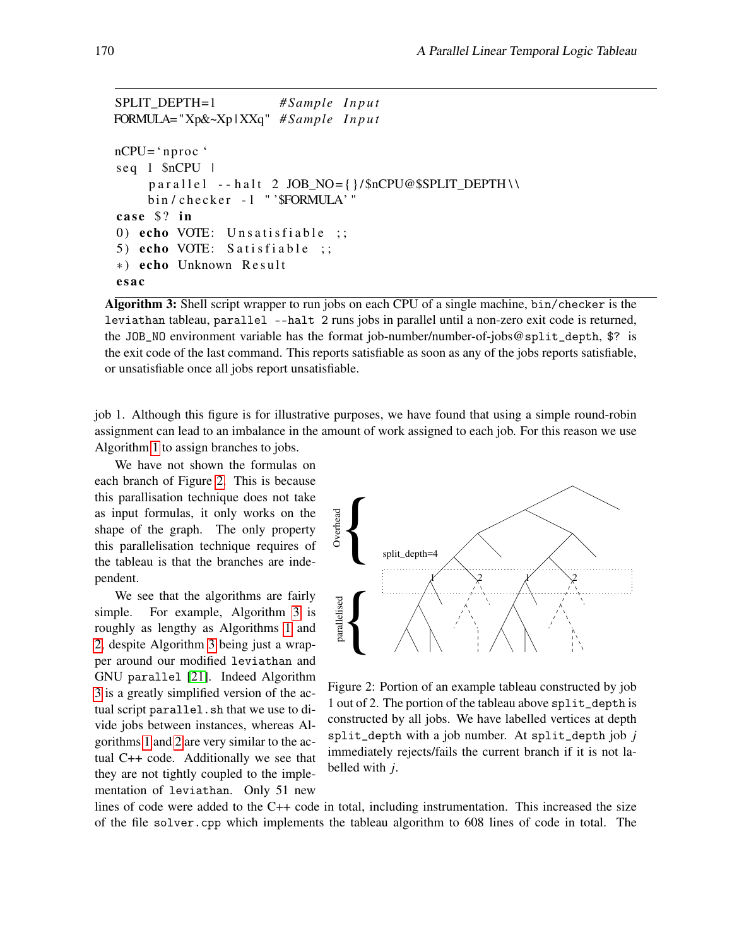```
SPLIT_DEPTH=1 # Sample I n p u t
FORMULA= "Xp&~Xp | XXq" # Sample I n p u t
nCPU='n proc'seq 1 $nCPU |
     parallel - half 2 JOB_NO = \{\}/\$nCPU@$SPLIT_DEPTH \ \bin / checker - l "' $FORMULA' "
case $? in
0) echo VOTE: Unsatisfiable ;;
5) echo VOTE: Satisfiable ;;
*) echo Unknown Result
e s a c
```
<span id="page-4-1"></span>Algorithm 3: Shell script wrapper to run jobs on each CPU of a single machine, bin/checker is the leviathan tableau, parallel --halt 2 runs jobs in parallel until a non-zero exit code is returned, the JOB\_NO environment variable has the format job-number/number-of-jobs@split\_depth, \$? is the exit code of the last command. This reports satisfiable as soon as any of the jobs reports satisfiable, or unsatisfiable once all jobs report unsatisfiable.

job 1. Although this figure is for illustrative purposes, we have found that using a simple round-robin assignment can lead to an imbalance in the amount of work assigned to each job. For this reason we use Algorithm [1](#page-3-0) to assign branches to jobs.

We have not shown the formulas on each branch of Figure [2.](#page-4-0) This is because this parallisation technique does not take as input formulas, it only works on the shape of the graph. The only property this parallelisation technique requires of the tableau is that the branches are independent.

We see that the algorithms are fairly simple. For example, Algorithm [3](#page-4-1) is roughly as lengthy as Algorithms [1](#page-3-0) and [2,](#page-3-1) despite Algorithm [3](#page-4-1) being just a wrapper around our modified leviathan and GNU parallel [\[21\]](#page-13-13). Indeed Algorithm [3](#page-4-1) is a greatly simplified version of the actual script parallel.sh that we use to divide jobs between instances, whereas Algorithms [1](#page-3-0) and [2](#page-3-1) are very similar to the actual C++ code. Additionally we see that they are not tightly coupled to the implementation of leviathan. Only 51 new



<span id="page-4-0"></span>Figure 2: Portion of an example tableau constructed by job 1 out of 2. The portion of the tableau above split\_depth is constructed by all jobs. We have labelled vertices at depth split\_depth with a job number. At split\_depth job *j* immediately rejects/fails the current branch if it is not labelled with *j*.

lines of code were added to the C++ code in total, including instrumentation. This increased the size of the file solver.cpp which implements the tableau algorithm to 608 lines of code in total. The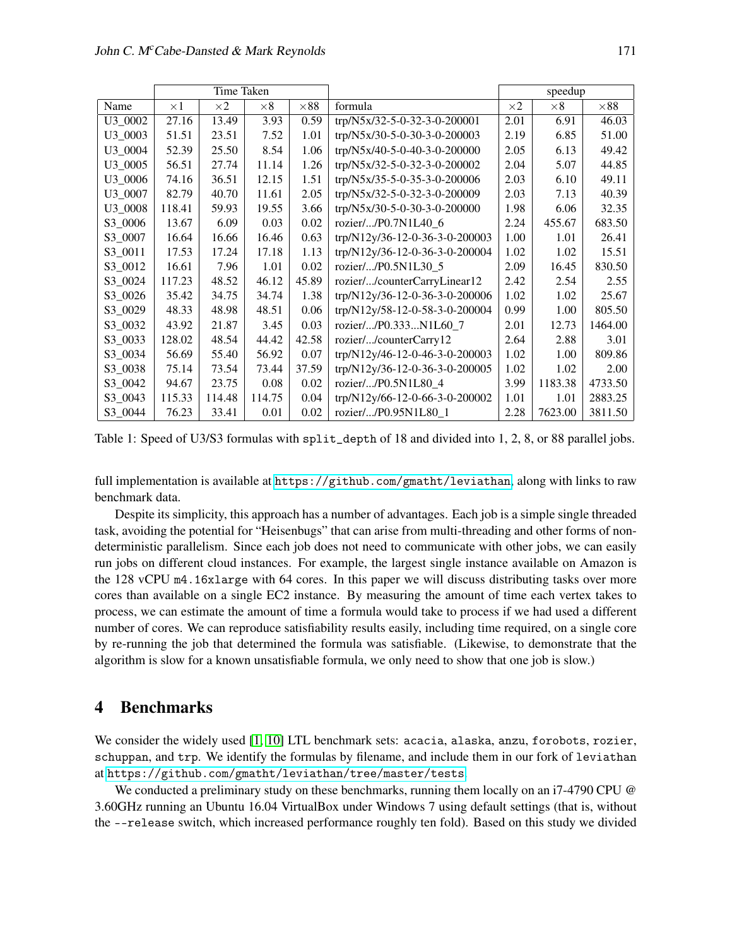|         | Time Taken |            |            |             |                                | speedup    |            |             |
|---------|------------|------------|------------|-------------|--------------------------------|------------|------------|-------------|
| Name    | $\times 1$ | $\times 2$ | $\times 8$ | $\times 88$ | formula                        | $\times 2$ | $\times 8$ | $\times 88$ |
| U3 0002 | 27.16      | 13.49      | 3.93       | 0.59        | trp/N5x/32-5-0-32-3-0-200001   | 2.01       | 6.91       | 46.03       |
| U3 0003 | 51.51      | 23.51      | 7.52       | 1.01        | trp/N5x/30-5-0-30-3-0-200003   | 2.19       | 6.85       | 51.00       |
| U3 0004 | 52.39      | 25.50      | 8.54       | 1.06        | trp/N5x/40-5-0-40-3-0-200000   | 2.05       | 6.13       | 49.42       |
| U3 0005 | 56.51      | 27.74      | 11.14      | 1.26        | trp/N5x/32-5-0-32-3-0-200002   | 2.04       | 5.07       | 44.85       |
| U3 0006 | 74.16      | 36.51      | 12.15      | 1.51        | trp/N5x/35-5-0-35-3-0-200006   | 2.03       | 6.10       | 49.11       |
| U3 0007 | 82.79      | 40.70      | 11.61      | 2.05        | trp/N5x/32-5-0-32-3-0-200009   | 2.03       | 7.13       | 40.39       |
| U3 0008 | 118.41     | 59.93      | 19.55      | 3.66        | trp/N5x/30-5-0-30-3-0-200000   | 1.98       | 6.06       | 32.35       |
| S3 0006 | 13.67      | 6.09       | 0.03       | 0.02        | rozier//P0.7N1L40_6            | 2.24       | 455.67     | 683.50      |
| S3 0007 | 16.64      | 16.66      | 16.46      | 0.63        | trp/N12y/36-12-0-36-3-0-200003 | 1.00       | 1.01       | 26.41       |
| S3 0011 | 17.53      | 17.24      | 17.18      | 1.13        | trp/N12y/36-12-0-36-3-0-200004 | 1.02       | 1.02       | 15.51       |
| S3 0012 | 16.61      | 7.96       | 1.01       | 0.02        | rozier//P0.5N1L30 5            | 2.09       | 16.45      | 830.50      |
| S3_0024 | 117.23     | 48.52      | 46.12      | 45.89       | rozier//counterCarryLinear12   | 2.42       | 2.54       | 2.55        |
| S3 0026 | 35.42      | 34.75      | 34.74      | 1.38        | trp/N12y/36-12-0-36-3-0-200006 | 1.02       | 1.02       | 25.67       |
| S3 0029 | 48.33      | 48.98      | 48.51      | 0.06        | trp/N12y/58-12-0-58-3-0-200004 | 0.99       | 1.00       | 805.50      |
| S3_0032 | 43.92      | 21.87      | 3.45       | 0.03        | rozier//P0.333N1L60_7          | 2.01       | 12.73      | 1464.00     |
| S3 0033 | 128.02     | 48.54      | 44.42      | 42.58       | rozier//counterCarry12         | 2.64       | 2.88       | 3.01        |
| S3 0034 | 56.69      | 55.40      | 56.92      | 0.07        | trp/N12y/46-12-0-46-3-0-200003 | 1.02       | 1.00       | 809.86      |
| S3 0038 | 75.14      | 73.54      | 73.44      | 37.59       | trp/N12y/36-12-0-36-3-0-200005 | 1.02       | 1.02       | 2.00        |
| S3 0042 | 94.67      | 23.75      | 0.08       | 0.02        | rozier//P0.5N1L80 4            | 3.99       | 1183.38    | 4733.50     |
| S3_0043 | 115.33     | 114.48     | 114.75     | 0.04        | trp/N12y/66-12-0-66-3-0-200002 | 1.01       | 1.01       | 2883.25     |
| S3_0044 | 76.23      | 33.41      | 0.01       | 0.02        | rozier//P0.95N1L80_1           | 2.28       | 7623.00    | 3811.50     |

<span id="page-5-1"></span>Table 1: Speed of U3/S3 formulas with split\_depth of 18 and divided into 1, 2, 8, or 88 parallel jobs.

full implementation is available at <https://github.com/gmatht/leviathan>, along with links to raw benchmark data.

Despite its simplicity, this approach has a number of advantages. Each job is a simple single threaded task, avoiding the potential for "Heisenbugs" that can arise from multi-threading and other forms of nondeterministic parallelism. Since each job does not need to communicate with other jobs, we can easily run jobs on different cloud instances. For example, the largest single instance available on Amazon is the 128 vCPU m4.16xlarge with 64 cores. In this paper we will discuss distributing tasks over more cores than available on a single EC2 instance. By measuring the amount of time each vertex takes to process, we can estimate the amount of time a formula would take to process if we had used a different number of cores. We can reproduce satisfiability results easily, including time required, on a single core by re-running the job that determined the formula was satisfiable. (Likewise, to demonstrate that the algorithm is slow for a known unsatisfiable formula, we only need to show that one job is slow.)

# <span id="page-5-0"></span>4 Benchmarks

We consider the widely used [\[1,](#page-12-1) [10\]](#page-13-9) LTL benchmark sets: acacia, alaska, anzu, forobots, rozier, schuppan, and trp. We identify the formulas by filename, and include them in our fork of leviathan at <https://github.com/gmatht/leviathan/tree/master/tests>.

We conducted a preliminary study on these benchmarks, running them locally on an i7-4790 CPU @ 3.60GHz running an Ubuntu 16.04 VirtualBox under Windows 7 using default settings (that is, without the --release switch, which increased performance roughly ten fold). Based on this study we divided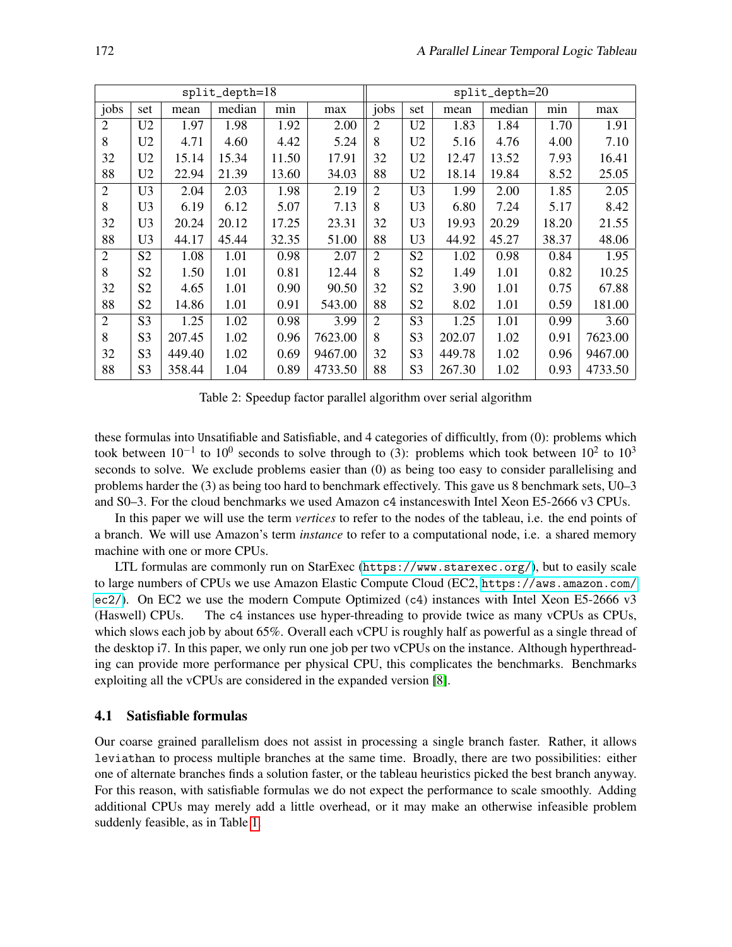|                |                |        | $split\_depth=18$ |       |         | $split\_depth=20$ |                |        |        |       |         |  |
|----------------|----------------|--------|-------------------|-------|---------|-------------------|----------------|--------|--------|-------|---------|--|
| jobs           | set            | mean   | median            | min   | max     | jobs              | set            | mean   | median | min   | max     |  |
| $\overline{2}$ | U <sub>2</sub> | 1.97   | 1.98              | 1.92  | 2.00    | $\overline{2}$    | U <sub>2</sub> | 1.83   | 1.84   | 1.70  | 1.91    |  |
| 8              | U <sub>2</sub> | 4.71   | 4.60              | 4.42  | 5.24    | 8                 | U <sub>2</sub> | 5.16   | 4.76   | 4.00  | 7.10    |  |
| 32             | U <sub>2</sub> | 15.14  | 15.34             | 11.50 | 17.91   | 32                | U <sub>2</sub> | 12.47  | 13.52  | 7.93  | 16.41   |  |
| 88             | U <sub>2</sub> | 22.94  | 21.39             | 13.60 | 34.03   | 88                | U2             | 18.14  | 19.84  | 8.52  | 25.05   |  |
| $\overline{2}$ | U3             | 2.04   | 2.03              | 1.98  | 2.19    | $\overline{2}$    | U3             | 1.99   | 2.00   | 1.85  | 2.05    |  |
| 8              | U <sub>3</sub> | 6.19   | 6.12              | 5.07  | 7.13    | 8                 | U <sub>3</sub> | 6.80   | 7.24   | 5.17  | 8.42    |  |
| 32             | U <sub>3</sub> | 20.24  | 20.12             | 17.25 | 23.31   | 32                | U <sub>3</sub> | 19.93  | 20.29  | 18.20 | 21.55   |  |
| 88             | U <sub>3</sub> | 44.17  | 45.44             | 32.35 | 51.00   | 88                | U <sub>3</sub> | 44.92  | 45.27  | 38.37 | 48.06   |  |
| $\overline{2}$ | S <sub>2</sub> | 1.08   | 1.01              | 0.98  | 2.07    | $\overline{2}$    | S <sub>2</sub> | 1.02   | 0.98   | 0.84  | 1.95    |  |
| 8              | S <sub>2</sub> | 1.50   | 1.01              | 0.81  | 12.44   | 8                 | S <sub>2</sub> | 1.49   | 1.01   | 0.82  | 10.25   |  |
| 32             | S <sub>2</sub> | 4.65   | 1.01              | 0.90  | 90.50   | 32                | S <sub>2</sub> | 3.90   | 1.01   | 0.75  | 67.88   |  |
| 88             | S <sub>2</sub> | 14.86  | 1.01              | 0.91  | 543.00  | 88                | S <sub>2</sub> | 8.02   | 1.01   | 0.59  | 181.00  |  |
| $\overline{2}$ | S <sub>3</sub> | 1.25   | 1.02              | 0.98  | 3.99    | $\overline{2}$    | S <sub>3</sub> | 1.25   | 1.01   | 0.99  | 3.60    |  |
| 8              | S <sub>3</sub> | 207.45 | 1.02              | 0.96  | 7623.00 | 8                 | S <sub>3</sub> | 202.07 | 1.02   | 0.91  | 7623.00 |  |
| 32             | S <sub>3</sub> | 449.40 | 1.02              | 0.69  | 9467.00 | 32                | S <sub>3</sub> | 449.78 | 1.02   | 0.96  | 9467.00 |  |
| 88             | S3             | 358.44 | 1.04              | 0.89  | 4733.50 | 88                | S <sub>3</sub> | 267.30 | 1.02   | 0.93  | 4733.50 |  |

<span id="page-6-0"></span>Table 2: Speedup factor parallel algorithm over serial algorithm

these formulas into Unsatifiable and Satisfiable, and 4 categories of difficultly, from (0): problems which took between  $10^{-1}$  to  $10^{0}$  seconds to solve through to (3): problems which took between  $10^{2}$  to  $10^{3}$ seconds to solve. We exclude problems easier than (0) as being too easy to consider parallelising and problems harder the (3) as being too hard to benchmark effectively. This gave us 8 benchmark sets, U0–3 and S0–3. For the cloud benchmarks we used Amazon c4 instanceswith Intel Xeon E5-2666 v3 CPUs.

In this paper we will use the term *vertices* to refer to the nodes of the tableau, i.e. the end points of a branch. We will use Amazon's term *instance* to refer to a computational node, i.e. a shared memory machine with one or more CPUs.

LTL formulas are commonly run on StarExec (<https://www.starexec.org/>), but to easily scale to large numbers of CPUs we use Amazon Elastic Compute Cloud (EC2, [https://aws.amazon.com/](https://aws.amazon.com/ec2/) [ec2/](https://aws.amazon.com/ec2/)). On EC2 we use the modern Compute Optimized (c4) instances with Intel Xeon E5-2666 v3 (Haswell) CPUs. The c4 instances use hyper-threading to provide twice as many vCPUs as CPUs, which slows each job by about 65%. Overall each vCPU is roughly half as powerful as a single thread of the desktop i7. In this paper, we only run one job per two vCPUs on the instance. Although hyperthreading can provide more performance per physical CPU, this complicates the benchmarks. Benchmarks exploiting all the vCPUs are considered in the expanded version [\[8\]](#page-13-2).

### <span id="page-6-1"></span>4.1 Satisfiable formulas

Our coarse grained parallelism does not assist in processing a single branch faster. Rather, it allows leviathan to process multiple branches at the same time. Broadly, there are two possibilities: either one of alternate branches finds a solution faster, or the tableau heuristics picked the best branch anyway. For this reason, with satisfiable formulas we do not expect the performance to scale smoothly. Adding additional CPUs may merely add a little overhead, or it may make an otherwise infeasible problem suddenly feasible, as in Table [1.](#page-5-1)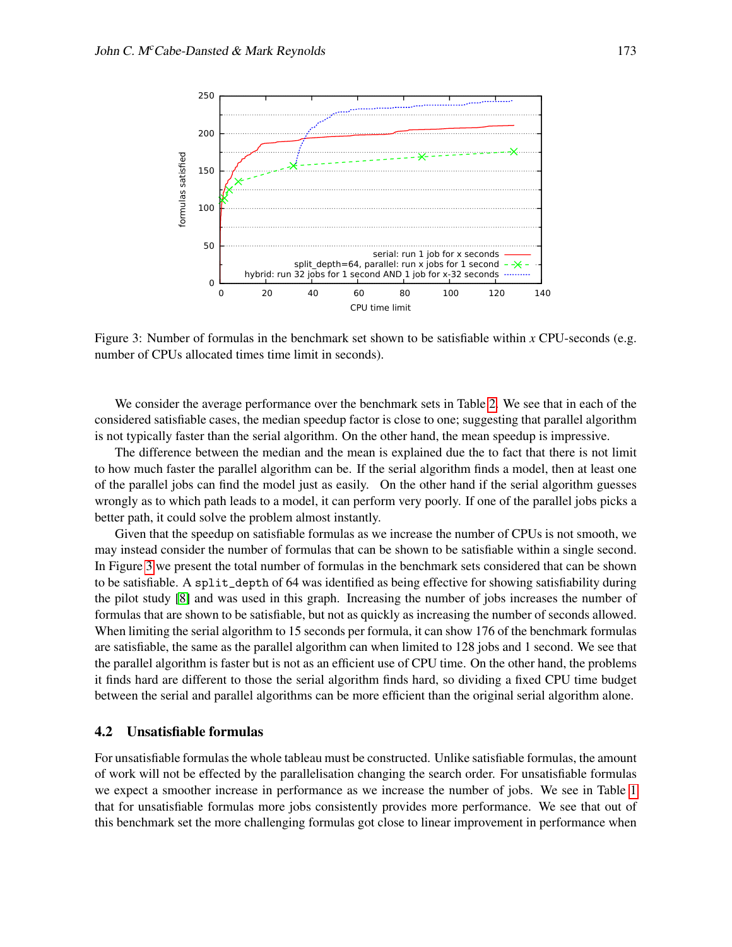

<span id="page-7-0"></span>Figure 3: Number of formulas in the benchmark set shown to be satisfiable within *x* CPU-seconds (e.g. number of CPUs allocated times time limit in seconds).

We consider the average performance over the benchmark sets in Table [2.](#page-6-0) We see that in each of the considered satisfiable cases, the median speedup factor is close to one; suggesting that parallel algorithm is not typically faster than the serial algorithm. On the other hand, the mean speedup is impressive.

The difference between the median and the mean is explained due the to fact that there is not limit to how much faster the parallel algorithm can be. If the serial algorithm finds a model, then at least one of the parallel jobs can find the model just as easily. On the other hand if the serial algorithm guesses wrongly as to which path leads to a model, it can perform very poorly. If one of the parallel jobs picks a better path, it could solve the problem almost instantly.

Given that the speedup on satisfiable formulas as we increase the number of CPUs is not smooth, we may instead consider the number of formulas that can be shown to be satisfiable within a single second. In Figure [3](#page-7-0) we present the total number of formulas in the benchmark sets considered that can be shown to be satisfiable. A split\_depth of 64 was identified as being effective for showing satisfiability during the pilot study [\[8\]](#page-13-2) and was used in this graph. Increasing the number of jobs increases the number of formulas that are shown to be satisfiable, but not as quickly as increasing the number of seconds allowed. When limiting the serial algorithm to 15 seconds per formula, it can show 176 of the benchmark formulas are satisfiable, the same as the parallel algorithm can when limited to 128 jobs and 1 second. We see that the parallel algorithm is faster but is not as an efficient use of CPU time. On the other hand, the problems it finds hard are different to those the serial algorithm finds hard, so dividing a fixed CPU time budget between the serial and parallel algorithms can be more efficient than the original serial algorithm alone.

### <span id="page-7-1"></span>4.2 Unsatisfiable formulas

For unsatisfiable formulas the whole tableau must be constructed. Unlike satisfiable formulas, the amount of work will not be effected by the parallelisation changing the search order. For unsatisfiable formulas we expect a smoother increase in performance as we increase the number of jobs. We see in Table [1](#page-5-1) that for unsatisfiable formulas more jobs consistently provides more performance. We see that out of this benchmark set the more challenging formulas got close to linear improvement in performance when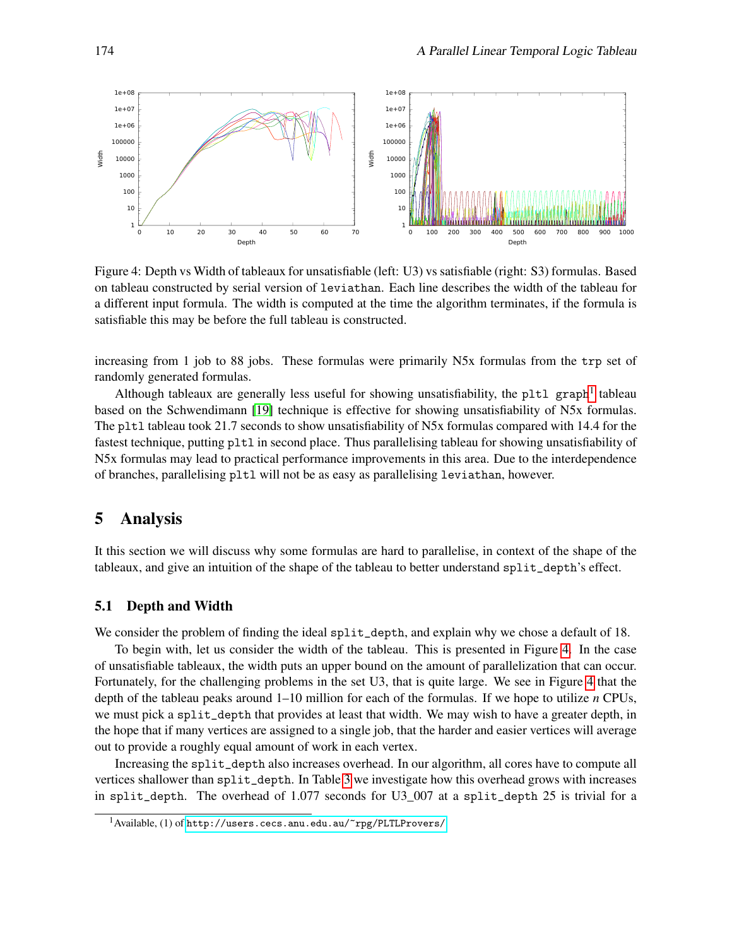

<span id="page-8-2"></span>Figure 4: Depth vs Width of tableaux for unsatisfiable (left: U3) vs satisfiable (right: S3) formulas. Based on tableau constructed by serial version of leviathan. Each line describes the width of the tableau for a different input formula. The width is computed at the time the algorithm terminates, if the formula is satisfiable this may be before the full tableau is constructed.

increasing from 1 job to 88 jobs. These formulas were primarily N5x formulas from the trp set of randomly generated formulas.

Although tableaux are generally less useful for showing unsatisfiability, the pltl graph<sup>[1](#page-8-1)</sup> tableau based on the Schwendimann [\[19\]](#page-13-1) technique is effective for showing unsatisfiability of N5x formulas. The pltl tableau took 21.7 seconds to show unsatisfiability of N5x formulas compared with 14.4 for the fastest technique, putting pltl in second place. Thus parallelising tableau for showing unsatisfiability of N5x formulas may lead to practical performance improvements in this area. Due to the interdependence of branches, parallelising pltl will not be as easy as parallelising leviathan, however.

# <span id="page-8-0"></span>5 Analysis

It this section we will discuss why some formulas are hard to parallelise, in context of the shape of the tableaux, and give an intuition of the shape of the tableau to better understand split\_depth's effect.

### 5.1 Depth and Width

We consider the problem of finding the ideal split\_depth, and explain why we chose a default of 18.

To begin with, let us consider the width of the tableau. This is presented in Figure [4.](#page-8-2) In the case of unsatisfiable tableaux, the width puts an upper bound on the amount of parallelization that can occur. Fortunately, for the challenging problems in the set U3, that is quite large. We see in Figure [4](#page-8-2) that the depth of the tableau peaks around 1–10 million for each of the formulas. If we hope to utilize *n* CPUs, we must pick a split\_depth that provides at least that width. We may wish to have a greater depth, in the hope that if many vertices are assigned to a single job, that the harder and easier vertices will average out to provide a roughly equal amount of work in each vertex.

Increasing the split\_depth also increases overhead. In our algorithm, all cores have to compute all vertices shallower than split\_depth. In Table [3](#page-9-0) we investigate how this overhead grows with increases in split\_depth. The overhead of 1.077 seconds for U3\_007 at a split\_depth 25 is trivial for a

<span id="page-8-1"></span> $1$ Available, (1) of <http://users.cecs.anu.edu.au/~rpg/PLTLProvers/>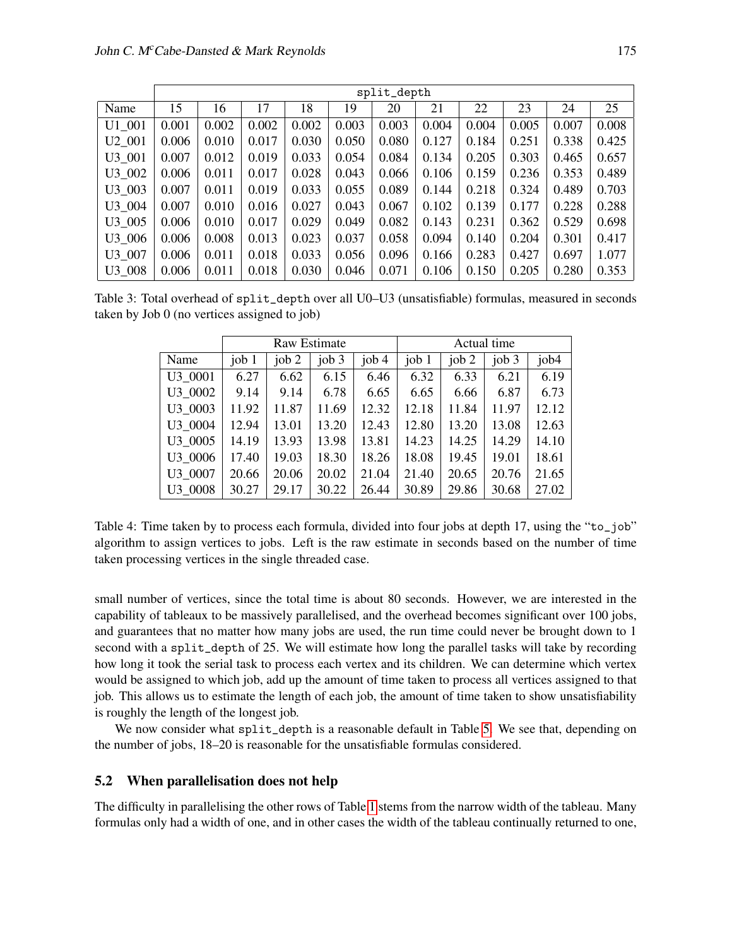|        | split_depth |       |       |       |       |       |       |       |       |       |       |
|--------|-------------|-------|-------|-------|-------|-------|-------|-------|-------|-------|-------|
| Name   | 15          | 16    | 17    | 18    | 19    | 20    | 21    | 22    | 23    | 24    | 25    |
| U1 001 | 0.001       | 0.002 | 0.002 | 0.002 | 0.003 | 0.003 | 0.004 | 0.004 | 0.005 | 0.007 | 0.008 |
| U2 001 | 0.006       | 0.010 | 0.017 | 0.030 | 0.050 | 0.080 | 0.127 | 0.184 | 0.251 | 0.338 | 0.425 |
| U3 001 | 0.007       | 0.012 | 0.019 | 0.033 | 0.054 | 0.084 | 0.134 | 0.205 | 0.303 | 0.465 | 0.657 |
| U3 002 | 0.006       | 0.011 | 0.017 | 0.028 | 0.043 | 0.066 | 0.106 | 0.159 | 0.236 | 0.353 | 0.489 |
| U3 003 | 0.007       | 0.011 | 0.019 | 0.033 | 0.055 | 0.089 | 0.144 | 0.218 | 0.324 | 0.489 | 0.703 |
| U3 004 | 0.007       | 0.010 | 0.016 | 0.027 | 0.043 | 0.067 | 0.102 | 0.139 | 0.177 | 0.228 | 0.288 |
| U3 005 | 0.006       | 0.010 | 0.017 | 0.029 | 0.049 | 0.082 | 0.143 | 0.231 | 0.362 | 0.529 | 0.698 |
| U3 006 | 0.006       | 0.008 | 0.013 | 0.023 | 0.037 | 0.058 | 0.094 | 0.140 | 0.204 | 0.301 | 0.417 |
| U3 007 | 0.006       | 0.011 | 0.018 | 0.033 | 0.056 | 0.096 | 0.166 | 0.283 | 0.427 | 0.697 | 1.077 |
| U3 008 | 0.006       | 0.011 | 0.018 | 0.030 | 0.046 | 0.071 | 0.106 | 0.150 | 0.205 | 0.280 | 0.353 |

<span id="page-9-0"></span>Table 3: Total overhead of split\_depth over all U0–U3 (unsatisfiable) formulas, measured in seconds taken by Job 0 (no vertices assigned to job)

|         |         |         | <b>Raw Estimate</b> |         | Actual time |         |         |       |  |
|---------|---------|---------|---------------------|---------|-------------|---------|---------|-------|--|
| Name    | job $1$ | job $2$ | job $3$             | job $4$ | job $1$     | job $2$ | job $3$ | job4  |  |
| U3 0001 | 6.27    | 6.62    | 6.15                | 6.46    | 6.32        | 6.33    | 6.21    | 6.19  |  |
| U3 0002 | 9.14    | 9.14    | 6.78                | 6.65    | 6.65        | 6.66    | 6.87    | 6.73  |  |
| U3 0003 | 11.92   | 11.87   | 11.69               | 12.32   | 12.18       | 11.84   | 11.97   | 12.12 |  |
| U3 0004 | 12.94   | 13.01   | 13.20               | 12.43   | 12.80       | 13.20   | 13.08   | 12.63 |  |
| U3 0005 | 14.19   | 13.93   | 13.98               | 13.81   | 14.23       | 14.25   | 14.29   | 14.10 |  |
| U3 0006 | 17.40   | 19.03   | 18.30               | 18.26   | 18.08       | 19.45   | 19.01   | 18.61 |  |
| U3 0007 | 20.66   | 20.06   | 20.02               | 21.04   | 21.40       | 20.65   | 20.76   | 21.65 |  |
| U3 0008 | 30.27   | 29.17   | 30.22               | 26.44   | 30.89       | 29.86   | 30.68   | 27.02 |  |

Table 4: Time taken by to process each formula, divided into four jobs at depth 17, using the "to\_job" algorithm to assign vertices to jobs. Left is the raw estimate in seconds based on the number of time taken processing vertices in the single threaded case.

small number of vertices, since the total time is about 80 seconds. However, we are interested in the capability of tableaux to be massively parallelised, and the overhead becomes significant over 100 jobs, and guarantees that no matter how many jobs are used, the run time could never be brought down to 1 second with a split\_depth of 25. We will estimate how long the parallel tasks will take by recording how long it took the serial task to process each vertex and its children. We can determine which vertex would be assigned to which job, add up the amount of time taken to process all vertices assigned to that job. This allows us to estimate the length of each job, the amount of time taken to show unsatisfiability is roughly the length of the longest job.

We now consider what split\_depth is a reasonable default in Table [5.](#page-10-1) We see that, depending on the number of jobs, 18–20 is reasonable for the unsatisfiable formulas considered.

### 5.2 When parallelisation does not help

The difficulty in parallelising the other rows of Table [1](#page-5-1) stems from the narrow width of the tableau. Many formulas only had a width of one, and in other cases the width of the tableau continually returned to one,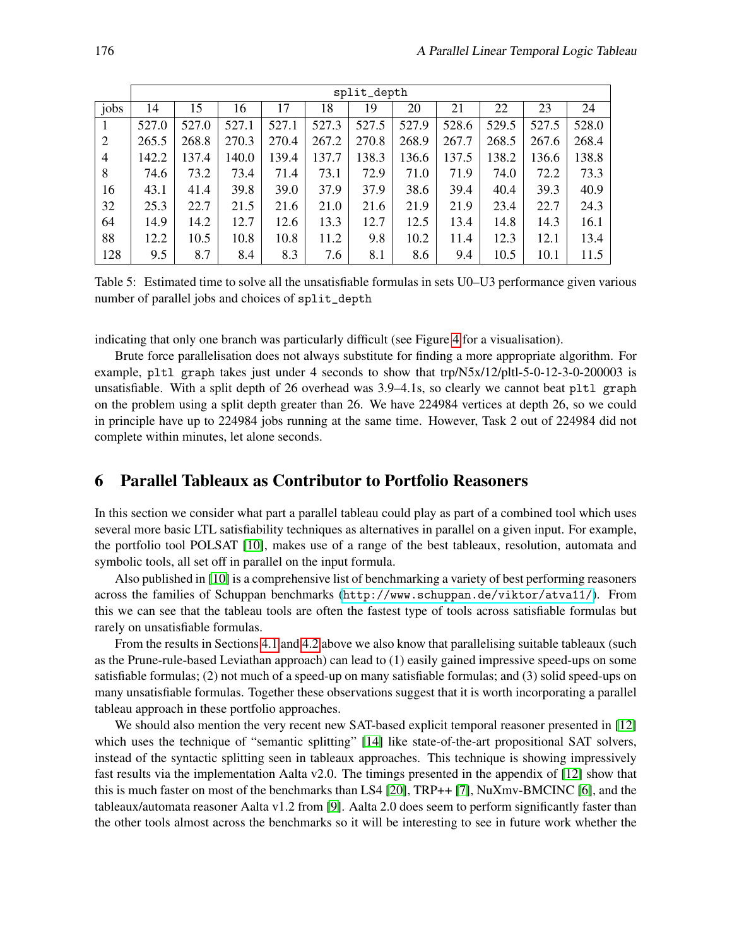|                | split_depth |       |       |       |       |       |       |       |       |       |       |  |  |
|----------------|-------------|-------|-------|-------|-------|-------|-------|-------|-------|-------|-------|--|--|
| jobs           | 14          | 15    | 16    | 17    | 18    | 19    | 20    | 21    | 22    | 23    | 24    |  |  |
|                | 527.0       | 527.0 | 527.1 | 527.1 | 527.3 | 527.5 | 527.9 | 528.6 | 529.5 | 527.5 | 528.0 |  |  |
| $\overline{2}$ | 265.5       | 268.8 | 270.3 | 270.4 | 267.2 | 270.8 | 268.9 | 267.7 | 268.5 | 267.6 | 268.4 |  |  |
| $\overline{4}$ | 142.2       | 137.4 | 140.0 | 139.4 | 137.7 | 138.3 | 136.6 | 137.5 | 138.2 | 136.6 | 138.8 |  |  |
| 8              | 74.6        | 73.2  | 73.4  | 71.4  | 73.1  | 72.9  | 71.0  | 71.9  | 74.0  | 72.2  | 73.3  |  |  |
| 16             | 43.1        | 41.4  | 39.8  | 39.0  | 37.9  | 37.9  | 38.6  | 39.4  | 40.4  | 39.3  | 40.9  |  |  |
| 32             | 25.3        | 22.7  | 21.5  | 21.6  | 21.0  | 21.6  | 21.9  | 21.9  | 23.4  | 22.7  | 24.3  |  |  |
| 64             | 14.9        | 14.2  | 12.7  | 12.6  | 13.3  | 12.7  | 12.5  | 13.4  | 14.8  | 14.3  | 16.1  |  |  |
| 88             | 12.2        | 10.5  | 10.8  | 10.8  | 11.2  | 9.8   | 10.2  | 11.4  | 12.3  | 12.1  | 13.4  |  |  |
| 128            | 9.5         | 8.7   | 8.4   | 8.3   | 7.6   | 8.1   | 8.6   | 9.4   | 10.5  | 10.1  | 11.5  |  |  |

<span id="page-10-1"></span>Table 5: Estimated time to solve all the unsatisfiable formulas in sets U0–U3 performance given various number of parallel jobs and choices of split\_depth

indicating that only one branch was particularly difficult (see Figure [4](#page-8-2) for a visualisation).

Brute force parallelisation does not always substitute for finding a more appropriate algorithm. For example, pltl graph takes just under 4 seconds to show that trp/N5x/12/pltl-5-0-12-3-0-200003 is unsatisfiable. With a split depth of 26 overhead was 3.9–4.1s, so clearly we cannot beat pltl graph on the problem using a split depth greater than 26. We have 224984 vertices at depth 26, so we could in principle have up to 224984 jobs running at the same time. However, Task 2 out of 224984 did not complete within minutes, let alone seconds.

# <span id="page-10-0"></span>6 Parallel Tableaux as Contributor to Portfolio Reasoners

In this section we consider what part a parallel tableau could play as part of a combined tool which uses several more basic LTL satisfiability techniques as alternatives in parallel on a given input. For example, the portfolio tool POLSAT [\[10\]](#page-13-9), makes use of a range of the best tableaux, resolution, automata and symbolic tools, all set off in parallel on the input formula.

Also published in [\[10\]](#page-13-9) is a comprehensive list of benchmarking a variety of best performing reasoners across the families of Schuppan benchmarks (<http://www.schuppan.de/viktor/atva11/>). From this we can see that the tableau tools are often the fastest type of tools across satisfiable formulas but rarely on unsatisfiable formulas.

From the results in Sections [4.1](#page-6-1) and [4.2](#page-7-1) above we also know that parallelising suitable tableaux (such as the Prune-rule-based Leviathan approach) can lead to (1) easily gained impressive speed-ups on some satisfiable formulas; (2) not much of a speed-up on many satisfiable formulas; and (3) solid speed-ups on many unsatisfiable formulas. Together these observations suggest that it is worth incorporating a parallel tableau approach in these portfolio approaches.

We should also mention the very recent new SAT-based explicit temporal reasoner presented in [\[12\]](#page-13-14) which uses the technique of "semantic splitting" [\[14\]](#page-13-15) like state-of-the-art propositional SAT solvers, instead of the syntactic splitting seen in tableaux approaches. This technique is showing impressively fast results via the implementation Aalta v2.0. The timings presented in the appendix of [\[12\]](#page-13-14) show that this is much faster on most of the benchmarks than LS4 [\[20\]](#page-13-7), TRP++ [\[7\]](#page-13-6), NuXmv-BMCINC [\[6\]](#page-13-16), and the tableaux/automata reasoner Aalta v1.2 from [\[9\]](#page-13-5). Aalta 2.0 does seem to perform significantly faster than the other tools almost across the benchmarks so it will be interesting to see in future work whether the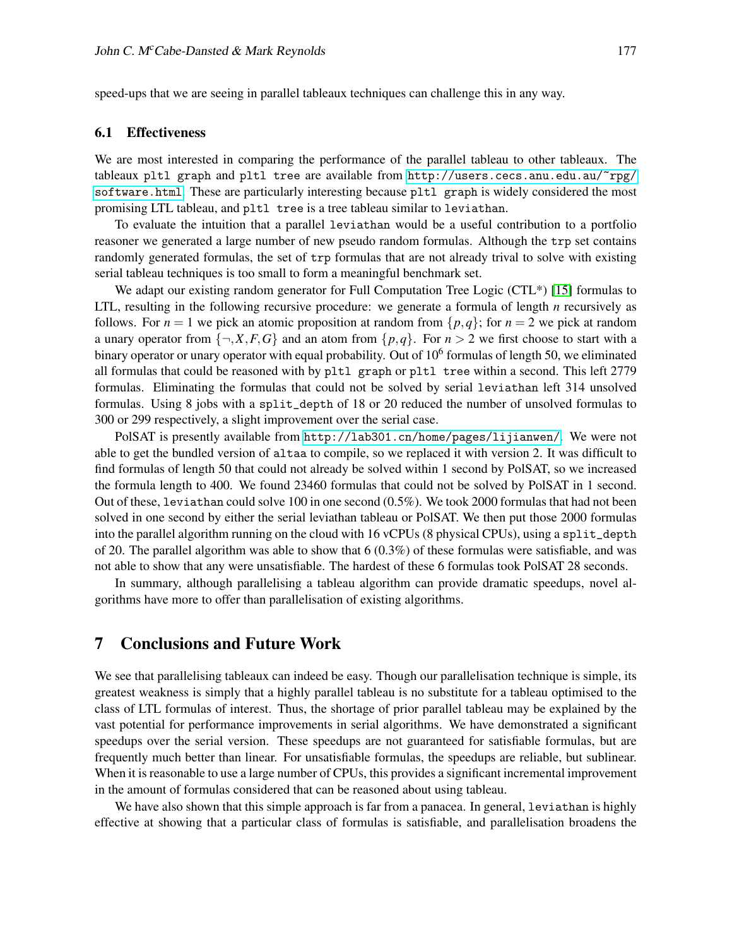speed-ups that we are seeing in parallel tableaux techniques can challenge this in any way.

#### 6.1 Effectiveness

We are most interested in comparing the performance of the parallel tableau to other tableaux. The tableaux pltl graph and pltl tree are available from [http://users.cecs.anu.edu.au/~rpg/](http://users.cecs.anu.edu.au/~rpg/software.html) [software.html](http://users.cecs.anu.edu.au/~rpg/software.html). These are particularly interesting because pltl graph is widely considered the most promising LTL tableau, and pltl tree is a tree tableau similar to leviathan.

To evaluate the intuition that a parallel leviathan would be a useful contribution to a portfolio reasoner we generated a large number of new pseudo random formulas. Although the trp set contains randomly generated formulas, the set of trp formulas that are not already trival to solve with existing serial tableau techniques is too small to form a meaningful benchmark set.

We adapt our existing random generator for Full Computation Tree Logic (CTL<sup>\*</sup>) [\[15\]](#page-13-17) formulas to LTL, resulting in the following recursive procedure: we generate a formula of length *n* recursively as follows. For  $n = 1$  we pick an atomic proposition at random from  $\{p,q\}$ ; for  $n = 2$  we pick at random a unary operator from  $\{\neg, X, F, G\}$  and an atom from  $\{p, q\}$ . For  $n > 2$  we first choose to start with a binary operator or unary operator with equal probability. Out of 10<sup>6</sup> formulas of length 50, we eliminated all formulas that could be reasoned with by pltl graph or pltl tree within a second. This left 2779 formulas. Eliminating the formulas that could not be solved by serial leviathan left 314 unsolved formulas. Using 8 jobs with a split\_depth of 18 or 20 reduced the number of unsolved formulas to 300 or 299 respectively, a slight improvement over the serial case.

PolSAT is presently available from <http://lab301.cn/home/pages/lijianwen/>. We were not able to get the bundled version of altaa to compile, so we replaced it with version 2. It was difficult to find formulas of length 50 that could not already be solved within 1 second by PolSAT, so we increased the formula length to 400. We found 23460 formulas that could not be solved by PolSAT in 1 second. Out of these, leviathan could solve 100 in one second (0.5%). We took 2000 formulas that had not been solved in one second by either the serial leviathan tableau or PolSAT. We then put those 2000 formulas into the parallel algorithm running on the cloud with 16 vCPUs (8 physical CPUs), using a split\_depth of 20. The parallel algorithm was able to show that  $6(0.3\%)$  of these formulas were satisfiable, and was not able to show that any were unsatisfiable. The hardest of these 6 formulas took PolSAT 28 seconds.

In summary, although parallelising a tableau algorithm can provide dramatic speedups, novel algorithms have more to offer than parallelisation of existing algorithms.

# 7 Conclusions and Future Work

We see that parallelising tableaux can indeed be easy. Though our parallelisation technique is simple, its greatest weakness is simply that a highly parallel tableau is no substitute for a tableau optimised to the class of LTL formulas of interest. Thus, the shortage of prior parallel tableau may be explained by the vast potential for performance improvements in serial algorithms. We have demonstrated a significant speedups over the serial version. These speedups are not guaranteed for satisfiable formulas, but are frequently much better than linear. For unsatisfiable formulas, the speedups are reliable, but sublinear. When it is reasonable to use a large number of CPUs, this provides a significant incremental improvement in the amount of formulas considered that can be reasoned about using tableau.

We have also shown that this simple approach is far from a panacea. In general, leviathan is highly effective at showing that a particular class of formulas is satisfiable, and parallelisation broadens the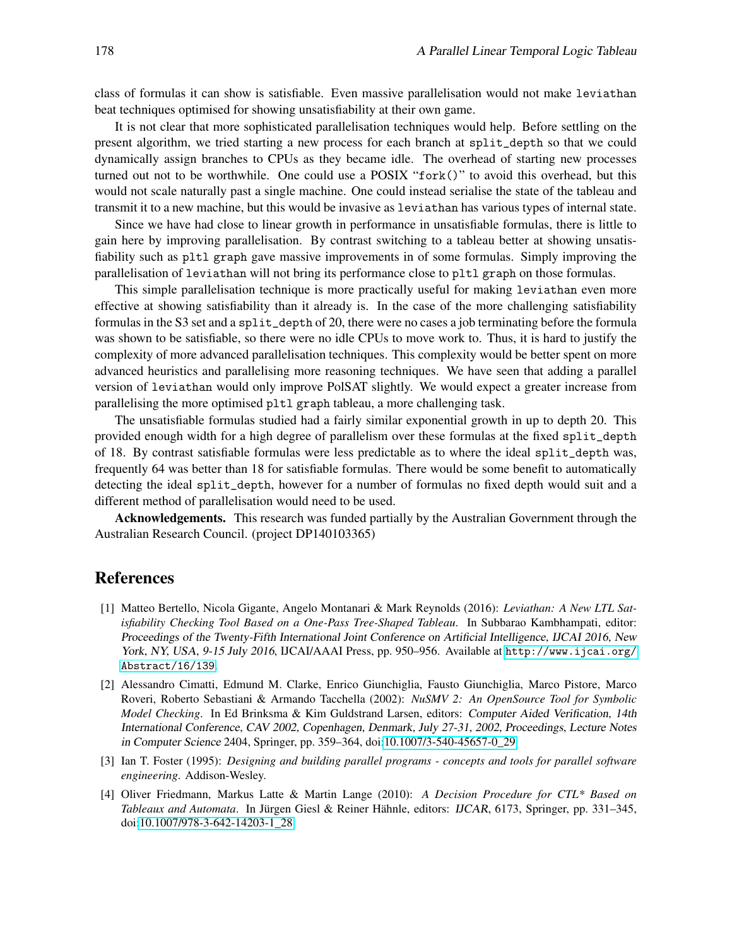class of formulas it can show is satisfiable. Even massive parallelisation would not make leviathan beat techniques optimised for showing unsatisfiability at their own game.

It is not clear that more sophisticated parallelisation techniques would help. Before settling on the present algorithm, we tried starting a new process for each branch at split\_depth so that we could dynamically assign branches to CPUs as they became idle. The overhead of starting new processes turned out not to be worthwhile. One could use a POSIX "fork()" to avoid this overhead, but this would not scale naturally past a single machine. One could instead serialise the state of the tableau and transmit it to a new machine, but this would be invasive as leviathan has various types of internal state.

Since we have had close to linear growth in performance in unsatisfiable formulas, there is little to gain here by improving parallelisation. By contrast switching to a tableau better at showing unsatisfiability such as pltl graph gave massive improvements in of some formulas. Simply improving the parallelisation of leviathan will not bring its performance close to pltl graph on those formulas.

This simple parallelisation technique is more practically useful for making leviathan even more effective at showing satisfiability than it already is. In the case of the more challenging satisfiability formulas in the S3 set and a split\_depth of 20, there were no cases a job terminating before the formula was shown to be satisfiable, so there were no idle CPUs to move work to. Thus, it is hard to justify the complexity of more advanced parallelisation techniques. This complexity would be better spent on more advanced heuristics and parallelising more reasoning techniques. We have seen that adding a parallel version of leviathan would only improve PolSAT slightly. We would expect a greater increase from parallelising the more optimised pltl graph tableau, a more challenging task.

The unsatisfiable formulas studied had a fairly similar exponential growth in up to depth 20. This provided enough width for a high degree of parallelism over these formulas at the fixed split\_depth of 18. By contrast satisfiable formulas were less predictable as to where the ideal split\_depth was, frequently 64 was better than 18 for satisfiable formulas. There would be some benefit to automatically detecting the ideal split\_depth, however for a number of formulas no fixed depth would suit and a different method of parallelisation would need to be used.

Acknowledgements. This research was funded partially by the Australian Government through the Australian Research Council. (project DP140103365)

## References

- <span id="page-12-1"></span>[1] Matteo Bertello, Nicola Gigante, Angelo Montanari & Mark Reynolds (2016): *Leviathan: A New LTL Satisfiability Checking Tool Based on a One-Pass Tree-Shaped Tableau*. In Subbarao Kambhampati, editor: Proceedings of the Twenty-Fifth International Joint Conference on Artificial Intelligence, IJCAI 2016, New York, NY, USA, 9-15 July 2016, IJCAI/AAAI Press, pp. 950–956. Available at [http://www.ijcai.org/](http://www.ijcai.org/Abstract/16/139) [Abstract/16/139](http://www.ijcai.org/Abstract/16/139).
- <span id="page-12-2"></span>[2] Alessandro Cimatti, Edmund M. Clarke, Enrico Giunchiglia, Fausto Giunchiglia, Marco Pistore, Marco Roveri, Roberto Sebastiani & Armando Tacchella (2002): *NuSMV 2: An OpenSource Tool for Symbolic Model Checking*. In Ed Brinksma & Kim Guldstrand Larsen, editors: Computer Aided Verification, 14th International Conference, CAV 2002, Copenhagen, Denmark, July 27-31, 2002, Proceedings, Lecture Notes in Computer Science 2404, Springer, pp. 359–364, doi[:10.1007/3-540-45657-0\\_29.](http://dx.doi.org/10.1007/3-540-45657-0_29)
- <span id="page-12-3"></span>[3] Ian T. Foster (1995): *Designing and building parallel programs - concepts and tools for parallel software engineering*. Addison-Wesley.
- <span id="page-12-0"></span>[4] Oliver Friedmann, Markus Latte & Martin Lange (2010): *A Decision Procedure for CTL\* Based on Tableaux and Automata*. In Jürgen Giesl & Reiner Hähnle, editors: IJCAR, 6173, Springer, pp. 331–345, doi[:10.1007/978-3-642-14203-1\\_28.](http://dx.doi.org/10.1007/978-3-642-14203-1_28)